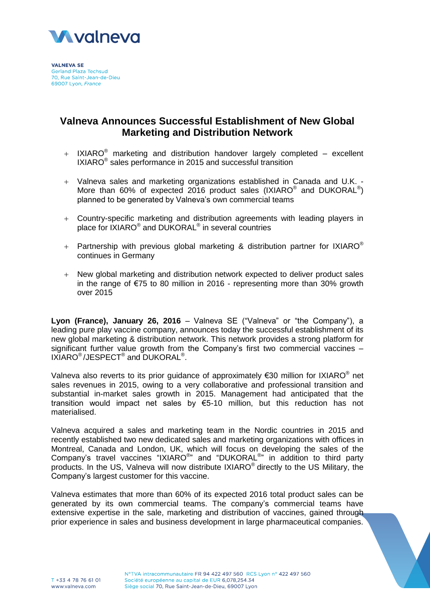

**VALNEVA SE Gerland Plaza Techsud** 70. Rue Saint-Jean-de-Dieu 69007 Lyon, France

# **Valneva Announces Successful Establishment of New Global Marketing and Distribution Network**

- $+$  IXIARO<sup>®</sup> marketing and distribution handover largely completed excellent IXIARO<sup>®</sup> sales performance in 2015 and successful transition
- Valneva sales and marketing organizations established in Canada and U.K. More than 60% of expected 2016 product sales (IXIARO<sup>®</sup> and DUKORAL<sup>®</sup>) planned to be generated by Valneva's own commercial teams
- Country-specific marketing and distribution agreements with leading players in place for IXIARO® and DUKORAL<sup>®</sup> in several countries
- + Partnership with previous global marketing & distribution partner for IXIARO<sup>®</sup> continues in Germany
- New global marketing and distribution network expected to deliver product sales in the range of  $\epsilon$ 75 to 80 million in 2016 - representing more than 30% growth over 2015

**Lyon (France), January 26, 2016** – Valneva SE ("Valneva" or "the Company"), a leading pure play vaccine company, announces today the successful establishment of its new global marketing & distribution network. This network provides a strong platform for significant further value growth from the Company's first two commercial vaccines – IXIARO<sup>®</sup>/JESPECT<sup>®</sup> and DUKORAL<sup>®</sup>.

Valneva also reverts to its prior guidance of approximately  $\epsilon$ 30 million for IXIARO<sup>®</sup> net sales revenues in 2015, owing to a very collaborative and professional transition and substantial in-market sales growth in 2015. Management had anticipated that the transition would impact net sales by €5-10 million, but this reduction has not materialised.

Valneva acquired a sales and marketing team in the Nordic countries in 2015 and recently established two new dedicated sales and marketing organizations with offices in Montreal, Canada and London, UK, which will focus on developing the sales of the Company's travel vaccines "IXIARO<sup>®</sup>" and "DUKORAL<sup>®</sup>" in addition to third party products. In the US, Valneva will now distribute IXIARO $^{\circ}$  directly to the US Military, the Company's largest customer for this vaccine.

Valneva estimates that more than 60% of its expected 2016 total product sales can be generated by its own commercial teams. The company's commercial teams have extensive expertise in the sale, marketing and distribution of vaccines, gained through prior experience in sales and business development in large pharmaceutical companies.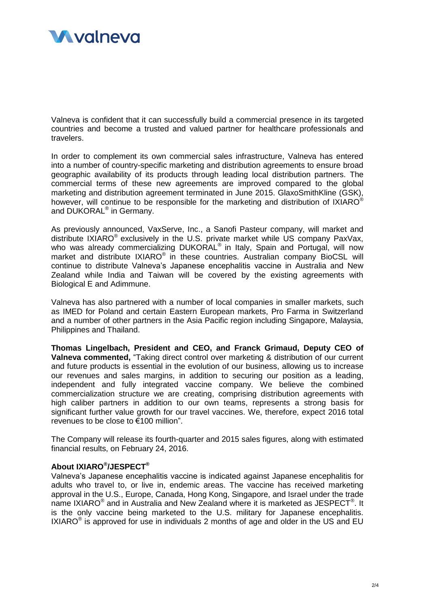

Valneva is confident that it can successfully build a commercial presence in its targeted countries and become a trusted and valued partner for healthcare professionals and travelers.

In order to complement its own commercial sales infrastructure, Valneva has entered into a number of country-specific marketing and distribution agreements to ensure broad geographic availability of its products through leading local distribution partners. The commercial terms of these new agreements are improved compared to the global marketing and distribution agreement terminated in June 2015. GlaxoSmithKline (GSK), however, will continue to be responsible for the marketing and distribution of IXIARO<sup>®</sup> and DUKORAL® in Germany.

As previously announced, VaxServe, Inc., a Sanofi Pasteur company, will market and distribute IXIARO<sup>®</sup> exclusively in the U.S. private market while US company PaxVax, who was already commercializing DUKORAL<sup>®</sup> in Italy, Spain and Portugal, will now market and distribute IXIARO<sup>®</sup> in these countries. Australian company BioCSL will continue to distribute Valneva's Japanese encephalitis vaccine in Australia and New Zealand while India and Taiwan will be covered by the existing agreements with Biological E and Adimmune.

Valneva has also partnered with a number of local companies in smaller markets, such as IMED for Poland and certain Eastern European markets, Pro Farma in Switzerland and a number of other partners in the Asia Pacific region including Singapore, Malaysia, Philippines and Thailand.

**Thomas Lingelbach, President and CEO, and Franck Grimaud, Deputy CEO of Valneva commented,** "Taking direct control over marketing & distribution of our current and future products is essential in the evolution of our business, allowing us to increase our revenues and sales margins, in addition to securing our position as a leading, independent and fully integrated vaccine company. We believe the combined commercialization structure we are creating, comprising distribution agreements with high caliber partners in addition to our own teams, represents a strong basis for significant further value growth for our travel vaccines. We, therefore, expect 2016 total revenues to be close to €100 million".

The Company will release its fourth-quarter and 2015 sales figures, along with estimated financial results, on February 24, 2016.

## **About IXIARO® /JESPECT®**

Valneva's Japanese encephalitis vaccine is indicated against Japanese encephalitis for adults who travel to, or live in, endemic areas. The vaccine has received marketing approval in the U.S., Europe, Canada, Hong Kong, Singapore, and Israel under the trade name IXIARO $^{\circ}$  and in Australia and New Zealand where it is marketed as JESPECT $^{\circ}$ . It is the only vaccine being marketed to the U.S. military for Japanese encephalitis. IXIARO $^\circ$  is approved for use in individuals 2 months of age and older in the US and EU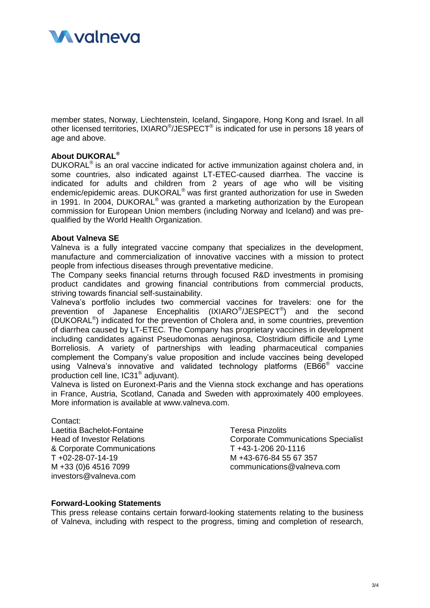

member states, Norway, Liechtenstein, Iceland, Singapore, Hong Kong and Israel. In all other licensed territories, IXIARO<sup>®</sup>/JESPECT<sup>®</sup> is indicated for use in persons 18 years of age and above.

## **About DUKORAL®**

DUKORAL<sup>®</sup> is an oral vaccine indicated for active immunization against cholera and, in some countries, also indicated against LT-ETEC-caused diarrhea. The vaccine is indicated for adults and children from 2 years of age who will be visiting endemic/epidemic areas. DUKORAL<sup>®</sup> was first granted authorization for use in Sweden in 1991. In 2004, DUKORAL® was granted a marketing authorization by the European commission for European Union members (including Norway and Iceland) and was prequalified by the World Health Organization.

#### **About Valneva SE**

Valneva is a fully integrated vaccine company that specializes in the development, manufacture and commercialization of innovative vaccines with a mission to protect people from infectious diseases through preventative medicine.

The Company seeks financial returns through focused R&D investments in promising product candidates and growing financial contributions from commercial products, striving towards financial self-sustainability.

Valneva's portfolio includes two commercial vaccines for travelers: one for the prevention of Japanese Encephalitis (IXIARO<sup>®</sup>/JESPECT<sup>®</sup>) and the second (DUKORAL® ) indicated for the prevention of Cholera and, in some countries, prevention of diarrhea caused by LT-ETEC. The Company has proprietary vaccines in development including candidates against Pseudomonas aeruginosa, Clostridium difficile and Lyme Borreliosis. A variety of partnerships with leading pharmaceutical companies complement the Company's value proposition and include vaccines being developed using Valneva's innovative and validated technology platforms (EB66<sup>®</sup> vaccine production cell line, IC31® adjuvant).

Valneva is listed on Euronext-Paris and the Vienna stock exchange and has operations in France, Austria, Scotland, Canada and Sweden with approximately 400 employees. More information is available at www.valneva.com.

#### Contact:

Laetitia Bachelot-Fontaine **Teresa Pinzolits** & Corporate Communications T +43-1-206 20-1116 T +02-28-07-14-19 M +43-676-84 55 67 357 investors@valneva.com

Head of Investor Relations Corporate Communications Specialist M +33 (0)6 4516 7099 communications@valneva.com

### **Forward-Looking Statements**

This press release contains certain forward-looking statements relating to the business of Valneva, including with respect to the progress, timing and completion of research,